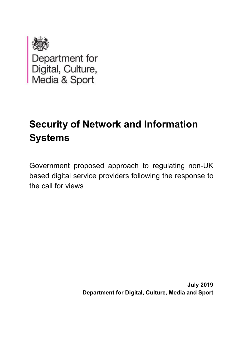

# **Security of Network and Information Systems**

Government proposed approach to regulating non-UK based digital service providers following the response to the call for views

> **July 2019 Department for Digital, Culture, Media and Sport**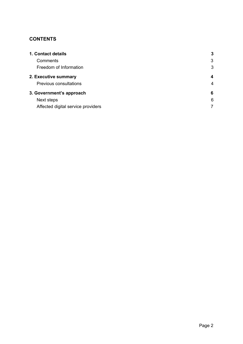## **CONTENTS**

| 3 |
|---|
| 3 |
| 3 |
| 4 |
| 4 |
| 6 |
| 6 |
| 7 |
|   |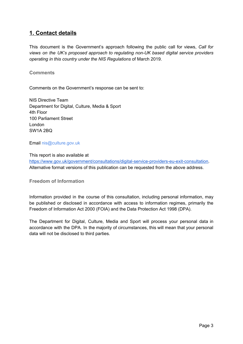## <span id="page-2-0"></span>**1. Contact details**

This document is the Government's approach following the public call for views, *Call for views on the UK's proposed approach to regulating non-UK based digital service providers operating in this country under the NIS Regulations* of March 2019.

#### <span id="page-2-1"></span>**Comments**

Comments on the Government's response can be sent to:

NIS Directive Team Department for Digital, Culture, Media & Sport 4th Floor 100 Parliament Street London SW1A 2BQ

Email nis@culture.gov.uk

This report is also available at <https://www.gov.uk/government/consultations/digital-service-providers-eu-exit-consultation>. Alternative format versions of this publication can be requested from the above address.

<span id="page-2-2"></span>**Freedom of Information**

Information provided in the course of this consultation, including personal information, may be published or disclosed in accordance with access to information regimes, primarily the Freedom of Information Act 2000 (FOIA) and the Data Protection Act 1998 (DPA).

The Department for Digital, Culture, Media and Sport will process your personal data in accordance with the DPA. In the majority of circumstances, this will mean that your personal data will not be disclosed to third parties.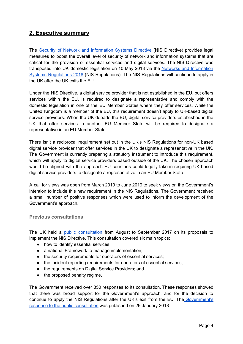## <span id="page-3-0"></span>**2. Executive summary**

The Security of Network and [Information](https://eur-lex.europa.eu/legal-content/EN/TXT/?uri=uriserv:OJ.L_.2016.194.01.0001.01.ENG&toc=OJ:L:2016:194:TOC) Systems Directive (NIS Directive) provides legal measures to boost the overall level of security of network and information systems that are critical for the provision of essential services and digital services. The NIS Directive was transposed into UK domestic legislation on 10 May 2018 via the Networks and [Information](https://www.legislation.gov.uk/uksi/2018/506/made) Systems [Regulations](https://www.legislation.gov.uk/uksi/2018/506/made) 2018 (NIS Regulations). The NIS Regulations will continue to apply in the UK after the UK exits the EU.

Under the NIS Directive, a digital service provider that is not established in the EU, but offers services within the EU, is required to designate a representative and comply with the domestic legislation in one of the EU Member States where they offer services. While the United Kingdom is a member of the EU, this requirement doesn't apply to UK-based digital service providers. When the UK departs the EU, digital service providers established in the UK that offer services in another EU Member State will be required to designate a representative in an EU Member State.

There isn't a reciprocal requirement set out in the UK's NIS Regulations for non-UK based digital service provider that offer services in the UK to designate a representative in the UK. The Government is currently preparing a statutory instrument to introduce this requirement, which will apply to digital service providers based outside of the UK. The chosen approach would be aligned with the approach EU countries could legally take in requiring UK based digital service providers to designate a representative in an EU Member State.

A call for views was open from March 2019 to June 2019 to seek views on the Government's intention to include this new requirement in the NIS Regulations. The Government received a small number of positive responses which were used to inform the development of the Government's approach.

#### <span id="page-3-1"></span>**Previous consultations**

The UK held a public [consultation](https://www.gov.uk/government/consultations/consultation-on-the-security-of-network-and-information-systems-directive) from August to September 2017 on its proposals to implement the NIS Directive. This consultation covered six main topics:

- how to identify essential services;
- a national Framework to manage implementation;
- the security requirements for operators of essential services;
- the incident reporting requirements for operators of essential services;
- the requirements on Digital Service Providers; and
- the proposed penalty regime.

The Government received over 350 responses to its consultation. These responses showed that there was broad support for the Government's approach, and for the decision to continue to apply the NIS Regulations after the UK's exit from the EU. The [Government's](https://assets.publishing.service.gov.uk/government/uploads/system/uploads/attachment_data/file/677065/NIS_Consultation_Response_-_Government_Policy_Response.pdf) response to the public [consultation](https://assets.publishing.service.gov.uk/government/uploads/system/uploads/attachment_data/file/677065/NIS_Consultation_Response_-_Government_Policy_Response.pdf) was published on 29 January 2018.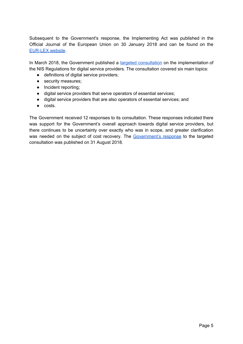Subsequent to the Government's response, the Implementing Act was published in the Official Journal of the European Union on 30 January 2018 and can be found on the [EUR-LEX](https://eur-lex.europa.eu/legal-content/EN/TXT/?uri=uriserv:OJ.L_.2018.026.01.0048.01.ENG&toc=OJ:L:2018:026:TOC) website.

In March 2018, the Government published a targeted [consultation](https://www.gov.uk/government/consultations/nis-regulations-targeted-consultation-on-digital-service-providers) on the implementation of the NIS Regulations for digital service providers. The consultation covered six main topics:

- definitions of digital service providers;
- security measures;
- Incident reporting;
- digital service providers that serve operators of essential services;
- digital service providers that are also operators of essential services; and
- costs.

The Government received 12 responses to its consultation. These responses indicated there was support for the Government's overall approach towards digital service providers, but there continues to be uncertainty over exactly who was in scope, and greater clarification was needed on the subject of cost recovery. The [Government's](https://assets.publishing.service.gov.uk/government/uploads/system/uploads/attachment_data/file/785380/NIS_DSP_Consultation_Response__Final___1_.pdf) response to the targeted consultation was published on 31 August 2018.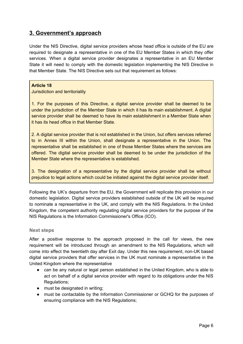### <span id="page-5-0"></span>**3. Government's approach**

Under the NIS Directive, digital service providers whose head office is outside of the EU are required to designate a representative in one of the EU Member States in which they offer services. When a digital service provider designates a representative in an EU Member State it will need to comply with the domestic legislation implementing the NIS Directive in that Member State. The NIS Directive sets out that requirement as follows:

#### **Article 18**

Jurisdiction and territoriality

1. For the purposes of this Directive, a digital service provider shall be deemed to be under the jurisdiction of the Member State in which it has its main establishment. A digital service provider shall be deemed to have its main establishment in a Member State when it has its head office in that Member State.

2. A digital service provider that is not established in the Union, but offers services referred to in Annex III within the Union, shall designate a representative in the Union. The representative shall be established in one of those Member States where the services are offered. The digital service provider shall be deemed to be under the jurisdiction of the Member State where the representative is established.

3. The designation of a representative by the digital service provider shall be without prejudice to legal actions which could be initiated against the digital service provider itself.

Following the UK's departure from the EU, the Government will replicate this provision in our domestic legislation. Digital service providers established outside of the UK will be required to nominate a representative in the UK, and comply with the NIS Regulations. In the United Kingdom, the competent authority regulating digital service providers for the purpose of the NIS Regulations is the Information Commissioner's Office (ICO).

#### <span id="page-5-1"></span>**Next steps**

After a positive response to the approach proposed in the call for views, the new requirement will be introduced through an amendment to the NIS Regulations, which will come into effect the twentieth day after Exit day. Under this new requirement, non-UK based digital service providers that offer services in the UK must nominate a representative in the United Kingdom where the representative

- can be any natural or legal person established in the United Kingdom, who is able to act on behalf of a digital service provider with regard to its obligations under the NIS Regulations;
- must be designated in writing;
- must be contactable by the Information Commissioner or GCHQ for the purposes of ensuring compliance with the NIS Regulations;